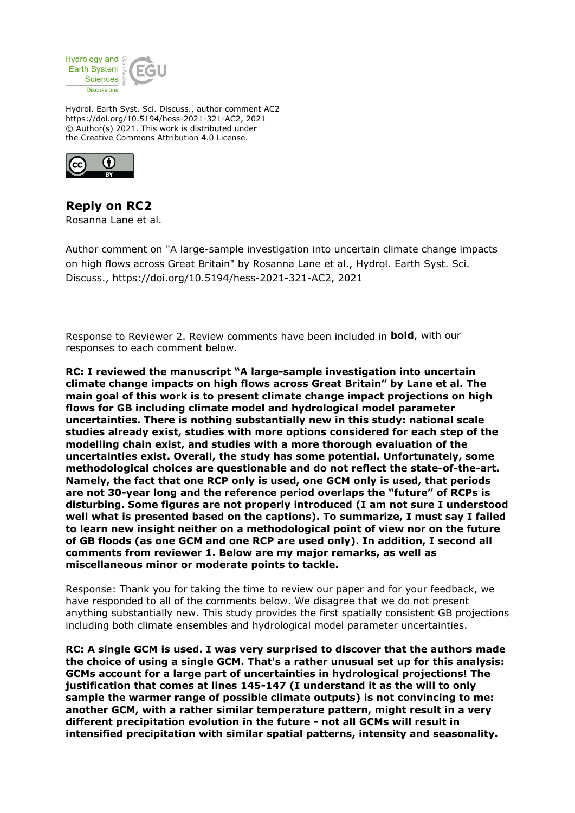

Hydrol. Earth Syst. Sci. Discuss., author comment AC2 https://doi.org/10.5194/hess-2021-321-AC2, 2021 © Author(s) 2021. This work is distributed under the Creative Commons Attribution 4.0 License.



**Reply on RC2** Rosanna Lane et al.

Author comment on "A large-sample investigation into uncertain climate change impacts on high flows across Great Britain" by Rosanna Lane et al., Hydrol. Earth Syst. Sci. Discuss., https://doi.org/10.5194/hess-2021-321-AC2, 2021

Response to Reviewer 2. Review comments have been included in **bold**, with our responses to each comment below.

**RC: I reviewed the manuscript "A large-sample investigation into uncertain climate change impacts on high flows across Great Britain" by Lane et al. The main goal of this work is to present climate change impact projections on high flows for GB including climate model and hydrological model parameter uncertainties. There is nothing substantially new in this study: national scale studies already exist, studies with more options considered for each step of the modelling chain exist, and studies with a more thorough evaluation of the uncertainties exist. Overall, the study has some potential. Unfortunately, some methodological choices are questionable and do not reflect the state-of-the-art. Namely, the fact that one RCP only is used, one GCM only is used, that periods are not 30-year long and the reference period overlaps the "future" of RCPs is disturbing. Some figures are not properly introduced (I am not sure I understood well what is presented based on the captions). To summarize, I must say I failed to learn new insight neither on a methodological point of view nor on the future of GB floods (as one GCM and one RCP are used only). In addition, I second all comments from reviewer 1. Below are my major remarks, as well as miscellaneous minor or moderate points to tackle.**

Response: Thank you for taking the time to review our paper and for your feedback, we have responded to all of the comments below. We disagree that we do not present anything substantially new. This study provides the first spatially consistent GB projections including both climate ensembles and hydrological model parameter uncertainties.

**RC: A single GCM is used. I was very surprised to discover that the authors made the choice of using a single GCM. That's a rather unusual set up for this analysis: GCMs account for a large part of uncertainties in hydrological projections! The justification that comes at lines 145-147 (I understand it as the will to only sample the warmer range of possible climate outputs) is not convincing to me: another GCM, with a rather similar temperature pattern, might result in a very different precipitation evolution in the future - not all GCMs will result in intensified precipitation with similar spatial patterns, intensity and seasonality.**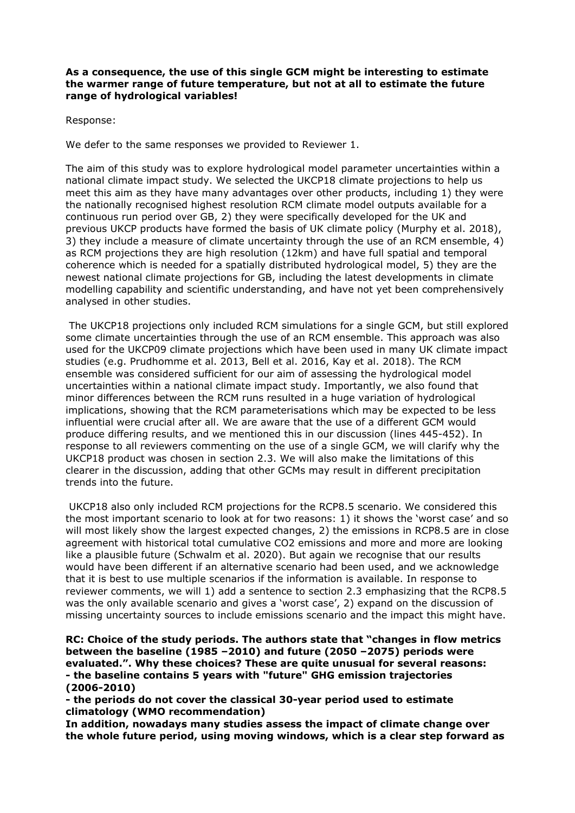## **As a consequence, the use of this single GCM might be interesting to estimate the warmer range of future temperature, but not at all to estimate the future range of hydrological variables!**

Response:

We defer to the same responses we provided to Reviewer 1.

The aim of this study was to explore hydrological model parameter uncertainties within a national climate impact study. We selected the UKCP18 climate projections to help us meet this aim as they have many advantages over other products, including 1) they were the nationally recognised highest resolution RCM climate model outputs available for a continuous run period over GB, 2) they were specifically developed for the UK and previous UKCP products have formed the basis of UK climate policy (Murphy et al. 2018), 3) they include a measure of climate uncertainty through the use of an RCM ensemble, 4) as RCM projections they are high resolution (12km) and have full spatial and temporal coherence which is needed for a spatially distributed hydrological model, 5) they are the newest national climate projections for GB, including the latest developments in climate modelling capability and scientific understanding, and have not yet been comprehensively analysed in other studies.

 The UKCP18 projections only included RCM simulations for a single GCM, but still explored some climate uncertainties through the use of an RCM ensemble. This approach was also used for the UKCP09 climate projections which have been used in many UK climate impact studies (e.g. Prudhomme et al. 2013, Bell et al. 2016, Kay et al. 2018). The RCM ensemble was considered sufficient for our aim of assessing the hydrological model uncertainties within a national climate impact study. Importantly, we also found that minor differences between the RCM runs resulted in a huge variation of hydrological implications, showing that the RCM parameterisations which may be expected to be less influential were crucial after all. We are aware that the use of a different GCM would produce differing results, and we mentioned this in our discussion (lines 445-452). In response to all reviewers commenting on the use of a single GCM, we will clarify why the UKCP18 product was chosen in section 2.3. We will also make the limitations of this clearer in the discussion, adding that other GCMs may result in different precipitation trends into the future.

 UKCP18 also only included RCM projections for the RCP8.5 scenario. We considered this the most important scenario to look at for two reasons: 1) it shows the 'worst case' and so will most likely show the largest expected changes, 2) the emissions in RCP8.5 are in close agreement with historical total cumulative CO2 emissions and more and more are looking like a plausible future (Schwalm et al. 2020). But again we recognise that our results would have been different if an alternative scenario had been used, and we acknowledge that it is best to use multiple scenarios if the information is available. In response to reviewer comments, we will 1) add a sentence to section 2.3 emphasizing that the RCP8.5 was the only available scenario and gives a 'worst case', 2) expand on the discussion of missing uncertainty sources to include emissions scenario and the impact this might have.

**RC: Choice of the study periods. The authors state that "changes in flow metrics between the baseline (1985 –2010) and future (2050 –2075) periods were evaluated.". Why these choices? These are quite unusual for several reasons: - the baseline contains 5 years with "future" GHG emission trajectories (2006-2010)**

**- the periods do not cover the classical 30-year period used to estimate climatology (WMO recommendation)**

**In addition, nowadays many studies assess the impact of climate change over the whole future period, using moving windows, which is a clear step forward as**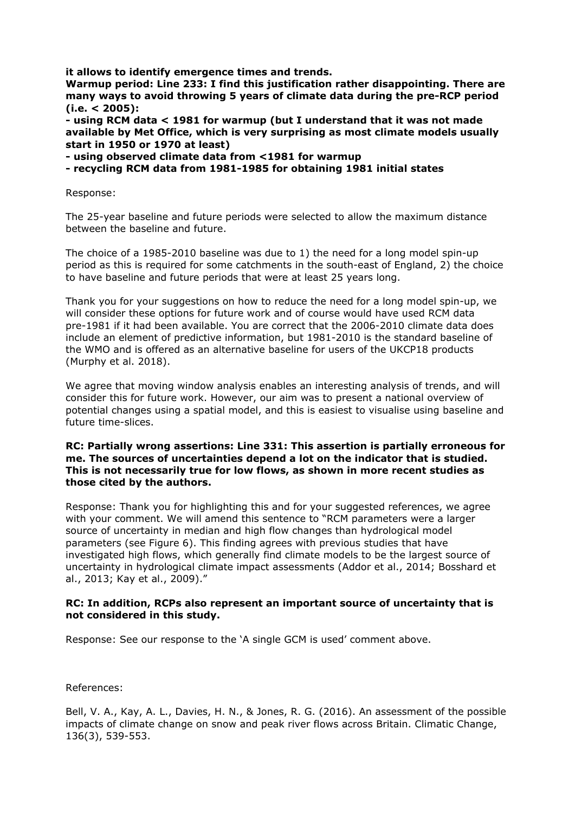**it allows to identify emergence times and trends.**

**Warmup period: Line 233: I find this justification rather disappointing. There are many ways to avoid throwing 5 years of climate data during the pre-RCP period (i.e. < 2005):**

**- using RCM data < 1981 for warmup (but I understand that it was not made available by Met Office, which is very surprising as most climate models usually start in 1950 or 1970 at least)**

**- using observed climate data from <1981 for warmup**

**- recycling RCM data from 1981-1985 for obtaining 1981 initial states**

Response:

The 25-year baseline and future periods were selected to allow the maximum distance between the baseline and future.

The choice of a 1985-2010 baseline was due to 1) the need for a long model spin-up period as this is required for some catchments in the south-east of England, 2) the choice to have baseline and future periods that were at least 25 years long.

Thank you for your suggestions on how to reduce the need for a long model spin-up, we will consider these options for future work and of course would have used RCM data pre-1981 if it had been available. You are correct that the 2006-2010 climate data does include an element of predictive information, but 1981-2010 is the standard baseline of the WMO and is offered as an alternative baseline for users of the UKCP18 products (Murphy et al. 2018).

We agree that moving window analysis enables an interesting analysis of trends, and will consider this for future work. However, our aim was to present a national overview of potential changes using a spatial model, and this is easiest to visualise using baseline and future time-slices.

## **RC: Partially wrong assertions: Line 331: This assertion is partially erroneous for me. The sources of uncertainties depend a lot on the indicator that is studied. This is not necessarily true for low flows, as shown in more recent studies as those cited by the authors.**

Response: Thank you for highlighting this and for your suggested references, we agree with your comment. We will amend this sentence to "RCM parameters were a larger source of uncertainty in median and high flow changes than hydrological model parameters (see Figure 6). This finding agrees with previous studies that have investigated high flows, which generally find climate models to be the largest source of uncertainty in hydrological climate impact assessments (Addor et al., 2014; Bosshard et al., 2013; Kay et al., 2009)."

## **RC: In addition, RCPs also represent an important source of uncertainty that is not considered in this study.**

Response: See our response to the 'A single GCM is used' comment above.

References:

Bell, V. A., Kay, A. L., Davies, H. N., & Jones, R. G. (2016). An assessment of the possible impacts of climate change on snow and peak river flows across Britain. Climatic Change, 136(3), 539-553.